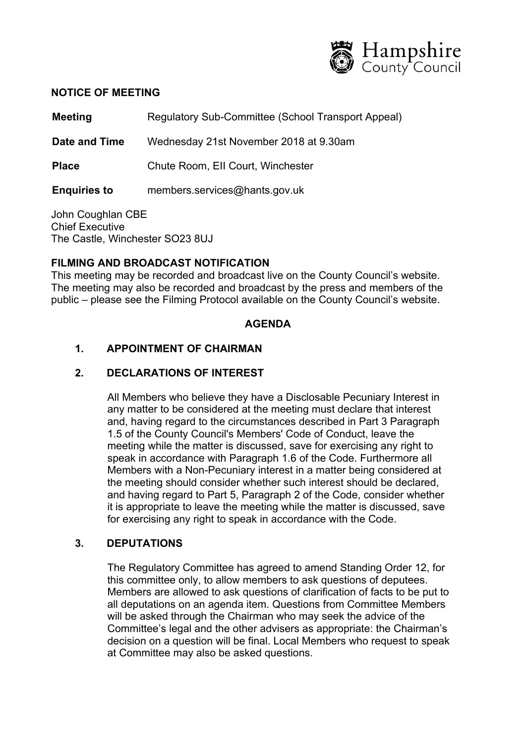

#### **NOTICE OF MEETING**

**Meeting Regulatory Sub-Committee (School Transport Appeal)** 

**Date and Time** Wednesday 21st November 2018 at 9.30am

**Place** Chute Room, EII Court, Winchester

**Enquiries to** members.services@hants.gov.uk

John Coughlan CBE Chief Executive The Castle, Winchester SO23 8UJ

## **FILMING AND BROADCAST NOTIFICATION**

This meeting may be recorded and broadcast live on the County Council's website. The meeting may also be recorded and broadcast by the press and members of the public – please see the Filming Protocol available on the County Council's website.

### **AGENDA**

## **1. APPOINTMENT OF CHAIRMAN**

### **2. DECLARATIONS OF INTEREST**

All Members who believe they have a Disclosable Pecuniary Interest in any matter to be considered at the meeting must declare that interest and, having regard to the circumstances described in Part 3 Paragraph 1.5 of the County Council's Members' Code of Conduct, leave the meeting while the matter is discussed, save for exercising any right to speak in accordance with Paragraph 1.6 of the Code. Furthermore all Members with a Non-Pecuniary interest in a matter being considered at the meeting should consider whether such interest should be declared, and having regard to Part 5, Paragraph 2 of the Code, consider whether it is appropriate to leave the meeting while the matter is discussed, save for exercising any right to speak in accordance with the Code.

### **3. DEPUTATIONS**

The Regulatory Committee has agreed to amend Standing Order 12, for this committee only, to allow members to ask questions of deputees. Members are allowed to ask questions of clarification of facts to be put to all deputations on an agenda item. Questions from Committee Members will be asked through the Chairman who may seek the advice of the Committee's legal and the other advisers as appropriate: the Chairman's decision on a question will be final. Local Members who request to speak at Committee may also be asked questions.